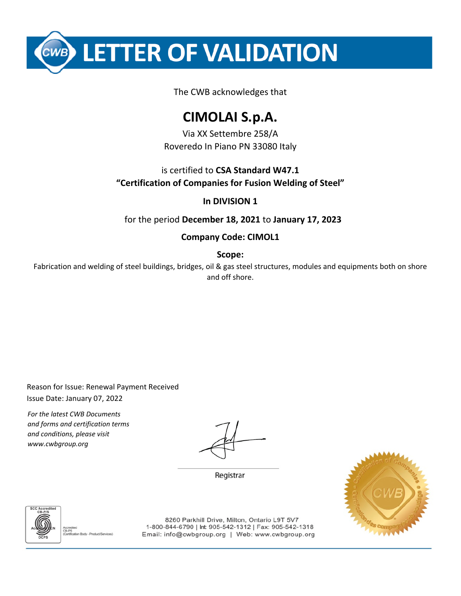**LETTER OF VALIDATION** 

The CWB acknowledges that

## **CIMOLAI S.p.A.**

Via XX Settembre 258/A Roveredo In Piano PN 33080 Italy

is certified to **CSA Standard W47.1 "Certification of Companies for Fusion Welding of Steel"**

### **In DIVISION 1**

for the period **December 18, 2021** to **January 17, 2023**

### **Company Code: CIMOL1**

**Scope:**

Fabrication and welding of steel buildings, bridges, oil & gas steel structures, modules and equipments both on shore and off shore.

Reason for Issue: Renewal Payment Received Issue Date: January 07, 2022

*For the latest CWB Documents and forms and certification terms and conditions, please visit www.cwbgroup.org*

Registrar





8260 Parkhill Drive, Milton, Ontario L9T 5V7 1-800-844-6790 | Int 905-542-1312 | Fax: 905-542-1318 Email: info@cwbgroup.org | Web: www.cwbgroup.org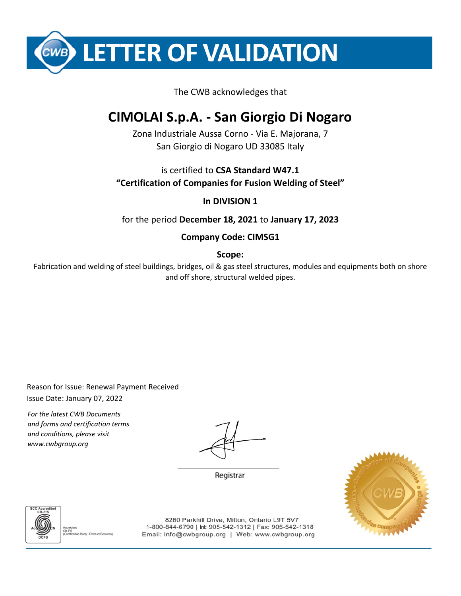**LETTER OF VALIDATION** 

#### The CWB acknowledges that

## **CIMOLAI S.p.A. - San Giorgio Di Nogaro**

Zona Industriale Aussa Corno - Via E. Majorana, 7 San Giorgio di Nogaro UD 33085 Italy

is certified to **CSA Standard W47.1 "Certification of Companies for Fusion Welding of Steel"**

#### **In DIVISION 1**

for the period **December 18, 2021** to **January 17, 2023**

#### **Company Code: CIMSG1**

**Scope:**

Fabrication and welding of steel buildings, bridges, oil & gas steel structures, modules and equipments both on shore and off shore, structural welded pipes.

Reason for Issue: Renewal Payment Received Issue Date: January 07, 2022

*For the latest CWB Documents and forms and certification terms and conditions, please visit www.cwbgroup.org*

Registrar





8260 Parkhill Drive, Milton, Ontario L9T 5V7 1-800-844-6790 | Int 905-542-1312 | Fax: 905-542-1318 Email: info@cwbgroup.org | Web: www.cwbgroup.org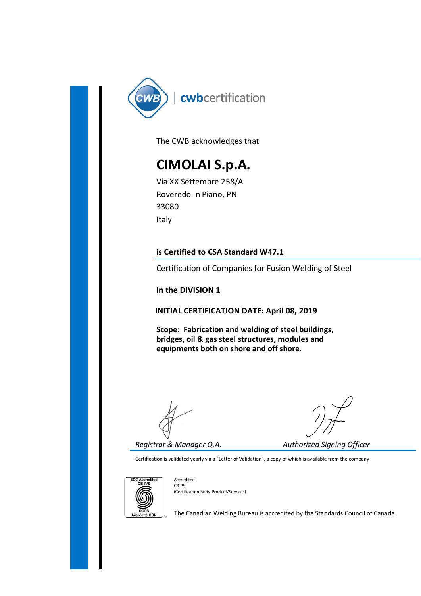

The CWB acknowledges that

## CIMOLAI S.p.A.

Via XX Settembre 258/A Roveredo In Piano, PN 33080 Italy

Certification of Companies for Fusion Welding of Steel

In the DIVISION 1

INITIAL CERTIFICATION DATE: April 08, 2019

Certification of Companies for Fusion Welding of Steel<br>
In the DIVISION 1<br>
INITIAL CERTIFICATION DATE: April 08, 2019<br>
Scope: Fabrication and welding of steel buildings,<br>
bridges, oil & gas steel structures, modules and<br>
e Scope: Fabrication and welding of steel buildings, bridges, oil & gas steel structures, modules and equipments both on shore and off shore.

Certification is validated yearly via a "Letter of Validation", a copy of which is available from the company



Accredited CB‐PS (Certification Body‐Product/Services)

The Canadian Welding Bureau is accredited by the Standards Council of Canada